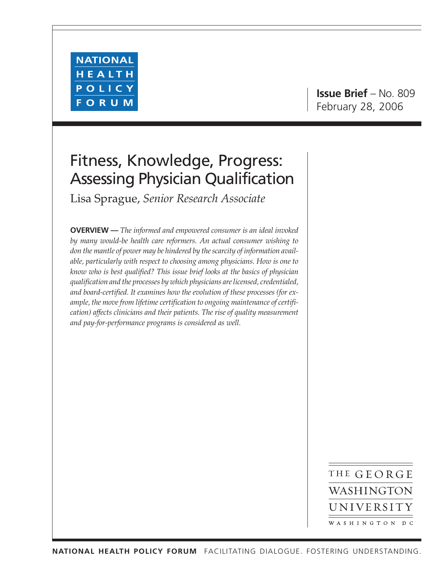

## Fitness, Knowledge, Progress: Assessing Physician Qualification

Lisa Sprague, *Senior Research Associate*

**OVERVIEW —** *The informed and empowered consumer is an ideal invoked by many would-be health care reformers. An actual consumer wishing to don the mantle of power may be hindered by the scarcity of information available, particularly with respect to choosing among physicians. How is one to know who is best qualified? This issue brief looks at the basics of physician qualification and the processes by which physicians are licensed, credentialed, and board-certified. It examines how the evolution of these processes (for example, the move from lifetime certification to ongoing maintenance of certification) affects clinicians and their patients. The rise of quality measurement and pay-for-performance programs is considered as well.*

> THE GEORGE WASHINGTON UNIVERSITY WASHINGTON DC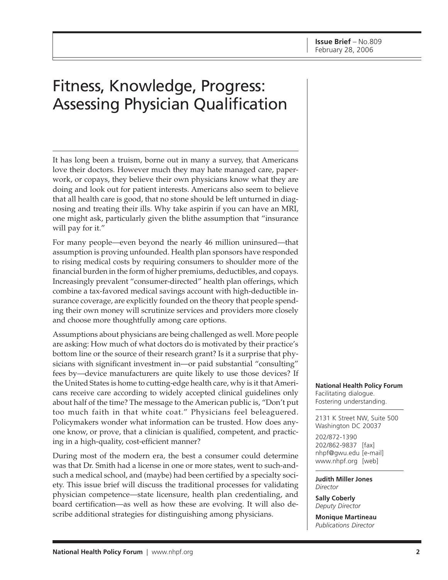# Fitness, Knowledge, Progress: Assessing Physician Qualification

It has long been a truism, borne out in many a survey, that Americans love their doctors. However much they may hate managed care, paperwork, or copays, they believe their own physicians know what they are doing and look out for patient interests. Americans also seem to believe that all health care is good, that no stone should be left unturned in diagnosing and treating their ills. Why take aspirin if you can have an MRI, one might ask, particularly given the blithe assumption that "insurance will pay for it."

For many people—even beyond the nearly 46 million uninsured—that assumption is proving unfounded. Health plan sponsors have responded to rising medical costs by requiring consumers to shoulder more of the financial burden in the form of higher premiums, deductibles, and copays. Increasingly prevalent "consumer-directed" health plan offerings, which combine a tax-favored medical savings account with high-deductible insurance coverage, are explicitly founded on the theory that people spending their own money will scrutinize services and providers more closely and choose more thoughtfully among care options.

Assumptions about physicians are being challenged as well. More people are asking: How much of what doctors do is motivated by their practice's bottom line or the source of their research grant? Is it a surprise that physicians with significant investment in—or paid substantial "consulting" fees by—device manufacturers are quite likely to use those devices? If the United States is home to cutting-edge health care, why is it that Americans receive care according to widely accepted clinical guidelines only about half of the time? The message to the American public is, "Don't put too much faith in that white coat." Physicians feel beleaguered. Policymakers wonder what information can be trusted. How does anyone know, or prove, that a clinician is qualified, competent, and practicing in a high-quality, cost-efficient manner?

During most of the modern era, the best a consumer could determine was that Dr. Smith had a license in one or more states, went to such-andsuch a medical school, and (maybe) had been certified by a specialty society. This issue brief will discuss the traditional processes for validating physician competence—state licensure, health plan credentialing, and board certification—as well as how these are evolving. It will also describe additional strategies for distinguishing among physicians.

**National Health Policy Forum** Facilitating dialogue. Fostering understanding.

2131 K Street NW, Suite 500 Washington DC 20037

202/872-1390 202/862-9837 [fax] nhpf@gwu.edu [e-mail] www.nhpf.org [web]

**Judith Miller Jones** *Director*

**Sally Coberly** *Deputy Director*

**Monique Martineau** *Publications Director*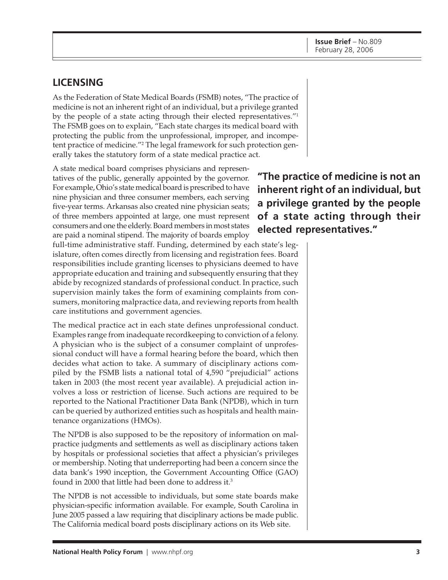**inherent right of an individual, but**

tatives of the public, generally appointed by the governor. For example, Ohio's state medical board is prescribed to have nine physician and three consumer members, each serving five-year terms. Arkansas also created nine physician seats; of three members appointed at large, one must represent consumers and one the elderly. Board members in most states are paid a nominal stipend. The majority of boards employ **"The practice of medicine is not an a privilege granted by the people of a state acting through their elected representatives."**

A state medical board comprises physicians and represen-

full-time administrative staff. Funding, determined by each state's legislature, often comes directly from licensing and registration fees. Board responsibilities include granting licenses to physicians deemed to have appropriate education and training and subsequently ensuring that they abide by recognized standards of professional conduct. In practice, such supervision mainly takes the form of examining complaints from consumers, monitoring malpractice data, and reviewing reports from health care institutions and government agencies.

The medical practice act in each state defines unprofessional conduct. Examples range from inadequate recordkeeping to conviction of a felony. A physician who is the subject of a consumer complaint of unprofessional conduct will have a formal hearing before the board, which then decides what action to take. A summary of disciplinary actions compiled by the FSMB lists a national total of 4,590 "prejudicial" actions taken in 2003 (the most recent year available). A prejudicial action involves a loss or restriction of license. Such actions are required to be reported to the National Practitioner Data Bank (NPDB), which in turn can be queried by authorized entities such as hospitals and health maintenance organizations (HMOs).

The NPDB is also supposed to be the repository of information on malpractice judgments and settlements as well as disciplinary actions taken by hospitals or professional societies that affect a physician's privileges or membership. Noting that underreporting had been a concern since the data bank's 1990 inception, the Government Accounting Office (GAO) found in 2000 that little had been done to address it.3

The NPDB is not accessible to individuals, but some state boards make physician-specific information available. For example, South Carolina in June 2005 passed a law requiring that disciplinary actions be made public. The California medical board posts disciplinary actions on its Web site.

As the Federation of State Medical Boards (FSMB) notes, "The practice of medicine is not an inherent right of an individual, but a privilege granted by the people of a state acting through their elected representatives."1 The FSMB goes on to explain, "Each state charges its medical board with protecting the public from the unprofessional, improper, and incompetent practice of medicine."2 The legal framework for such protection generally takes the statutory form of a state medical practice act.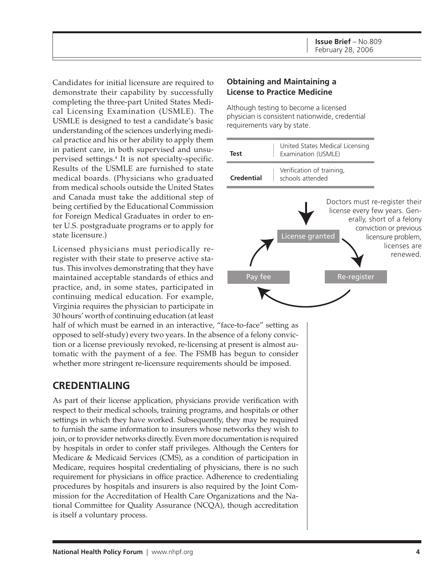Candidates for initial licensure are required to demonstrate their capability by successfully completing the three-part United States Medical Licensing Examination (USMLE). The USMLE is designed to test a candidate's basic understanding of the sciences underlying medical practice and his or her ability to apply them in patient care, in both supervised and unsupervised settings.4 It is not specialty-specific. Results of the USMLE are furnished to state medical boards. (Physicians who graduated from medical schools outside the United States and Canada must take the additional step of being certified by the Educational Commission for Foreign Medical Graduates in order to enter U.S. postgraduate programs or to apply for state licensure.)

Licensed physicians must periodically reregister with their state to preserve active status. This involves demonstrating that they have maintained acceptable standards of ethics and practice, and, in some states, participated in continuing medical education. For example, Virginia requires the physician to participate in 30 hours' worth of continuing education (at least

half of which must be earned in an interactive, "face-to-face" setting as opposed to self-study) every two years. In the absence of a felony conviction or a license previously revoked, re-licensing at present is almost automatic with the payment of a fee. The FSMB has begun to consider whether more stringent re-licensure requirements should be imposed.

## **CREDENTIALING**

As part of their license application, physicians provide verification with respect to their medical schools, training programs, and hospitals or other settings in which they have worked. Subsequently, they may be required to furnish the same information to insurers whose networks they wish to join, or to provider networks directly. Even more documentation is required by hospitals in order to confer staff privileges. Although the Centers for Medicare & Medicaid Services (CMS), as a condition of participation in Medicare, requires hospital credentialing of physicians, there is no such requirement for physicians in office practice. Adherence to credentialing procedures by hospitals and insurers is also required by the Joint Commission for the Accreditation of Health Care Organizations and the National Committee for Quality Assurance (NCQA), though accreditation is itself a voluntary process.

#### **Obtaining and Maintaining a License to Practice Medicine**

Although testing to become a licensed physician is consistent nationwide, credential requirements vary by state.

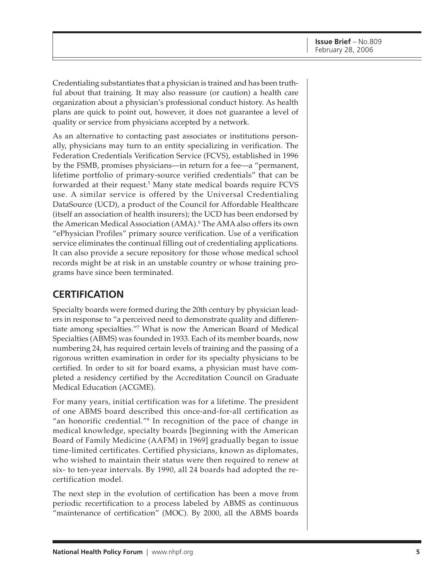Credentialing substantiates that a physician is trained and has been truthful about that training. It may also reassure (or caution) a health care organization about a physician's professional conduct history. As health plans are quick to point out, however, it does not guarantee a level of quality or service from physicians accepted by a network.

As an alternative to contacting past associates or institutions personally, physicians may turn to an entity specializing in verification. The Federation Credentials Verification Service (FCVS), established in 1996 by the FSMB, promises physicians—in return for a fee—a "permanent, lifetime portfolio of primary-source verified credentials" that can be forwarded at their request.5 Many state medical boards require FCVS use. A similar service is offered by the Universal Credentialing DataSource (UCD), a product of the Council for Affordable Healthcare (itself an association of health insurers); the UCD has been endorsed by the American Medical Association (AMA).<sup>6</sup> The AMA also offers its own "ePhysician Profiles" primary source verification. Use of a verification service eliminates the continual filling out of credentialing applications. It can also provide a secure repository for those whose medical school records might be at risk in an unstable country or whose training programs have since been terminated.

### **CERTIFICATION**

Specialty boards were formed during the 20th century by physician leaders in response to "a perceived need to demonstrate quality and differentiate among specialties."7 What is now the American Board of Medical Specialties (ABMS) was founded in 1933. Each of its member boards, now numbering 24, has required certain levels of training and the passing of a rigorous written examination in order for its specialty physicians to be certified. In order to sit for board exams, a physician must have completed a residency certified by the Accreditation Council on Graduate Medical Education (ACGME).

For many years, initial certification was for a lifetime. The president of one ABMS board described this once-and-for-all certification as "an honorific credential."8 In recognition of the pace of change in medical knowledge, specialty boards [beginning with the American Board of Family Medicine (AAFM) in 1969] gradually began to issue time-limited certificates. Certified physicians, known as diplomates, who wished to maintain their status were then required to renew at six- to ten-year intervals. By 1990, all 24 boards had adopted the recertification model.

The next step in the evolution of certification has been a move from periodic recertification to a process labeled by ABMS as continuous "maintenance of certification" (MOC). By 2000, all the ABMS boards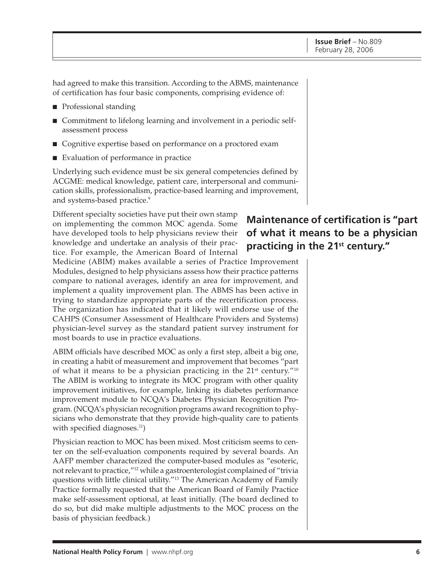had agreed to make this transition. According to the ABMS, maintenance of certification has four basic components, comprising evidence of:

- Professional standing
- Commitment to lifelong learning and involvement in a periodic selfassessment process
- Cognitive expertise based on performance on a proctored exam
- Evaluation of performance in practice

Underlying such evidence must be six general competencies defined by ACGME: medical knowledge, patient care, interpersonal and communication skills, professionalism, practice-based learning and improvement, and systems-based practice.<sup>9</sup>

Different specialty societies have put their own stamp on implementing the common MOC agenda. Some have developed tools to help physicians review their knowledge and undertake an analysis of their practice. For example, the American Board of Internal

Medicine (ABIM) makes available a series of Practice Improvement Modules, designed to help physicians assess how their practice patterns compare to national averages, identify an area for improvement, and implement a quality improvement plan. The ABMS has been active in trying to standardize appropriate parts of the recertification process. The organization has indicated that it likely will endorse use of the CAHPS (Consumer Assessment of Healthcare Providers and Systems) physician-level survey as the standard patient survey instrument for most boards to use in practice evaluations.

ABIM officials have described MOC as only a first step, albeit a big one, in creating a habit of measurement and improvement that becomes "part of what it means to be a physician practicing in the  $21<sup>st</sup>$  century.<sup>"10</sup> The ABIM is working to integrate its MOC program with other quality improvement initiatives, for example, linking its diabetes performance improvement module to NCQA's Diabetes Physician Recognition Program. (NCQA's physician recognition programs award recognition to physicians who demonstrate that they provide high-quality care to patients with specified diagnoses. $11$ )

Physician reaction to MOC has been mixed. Most criticism seems to center on the self-evaluation components required by several boards. An AAFP member characterized the computer-based modules as "esoteric, not relevant to practice,"12 while a gastroenterologist complained of "trivia questions with little clinical utility."13 The American Academy of Family Practice formally requested that the American Board of Family Practice make self-assessment optional, at least initially. (The board declined to do so, but did make multiple adjustments to the MOC process on the basis of physician feedback.)

## **Maintenance of certification is "part of what it means to be a physician practicing in the 21st century."**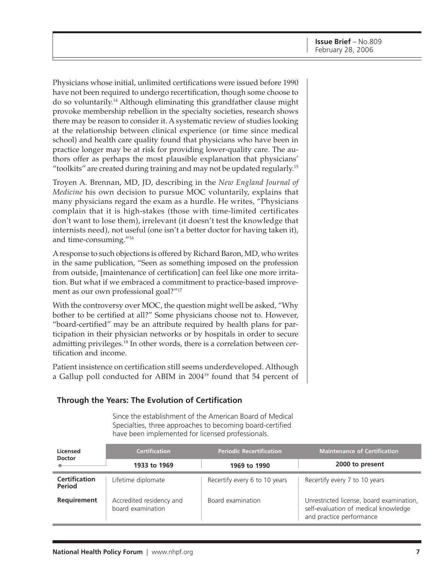Physicians whose initial, unlimited certifications were issued before 1990 have not been required to undergo recertification, though some choose to do so voluntarily.14 Although eliminating this grandfather clause might provoke membership rebellion in the specialty societies, research shows there may be reason to consider it. A systematic review of studies looking at the relationship between clinical experience (or time since medical school) and health care quality found that physicians who have been in practice longer may be at risk for providing lower-quality care. The authors offer as perhaps the most plausible explanation that physicians' "toolkits" are created during training and may not be updated regularly.15

Troyen A. Brennan, MD, JD, describing in the *New England Journal of Medicine* his own decision to pursue MOC voluntarily, explains that many physicians regard the exam as a hurdle. He writes, "Physicians complain that it is high-stakes (those with time-limited certificates don't want to lose them), irrelevant (it doesn't test the knowledge that internists need), not useful (one isn't a better doctor for having taken it), and time-consuming."16

A response to such objections is offered by Richard Baron, MD, who writes in the same publication, "Seen as something imposed on the profession from outside, [maintenance of certification] can feel like one more irritation. But what if we embraced a commitment to practice-based improvement as our own professional goal?"17

With the controversy over MOC, the question might well be asked, "Why bother to be certified at all?" Some physicians choose not to. However, "board-certified" may be an attribute required by health plans for participation in their physician networks or by hospitals in order to secure admitting privileges.18 In other words, there is a correlation between certification and income.

Patient insistence on certification still seems underdeveloped. Although a Gallup poll conducted for ABIM in 200419 found that 54 percent of

#### **Through the Years: The Evolution of Certification**

Since the establishment of the American Board of Medical Specialties, three approaches to becoming board-certified have been implemented for licensed professionals.

| Licensed<br><b>Doctor</b>             | <b>Certification</b>                          | <b>Periodic Recertification</b> | <b>Maintenance of Certification</b>                                                                          |
|---------------------------------------|-----------------------------------------------|---------------------------------|--------------------------------------------------------------------------------------------------------------|
|                                       | 1933 to 1969                                  | 1969 to 1990                    | 2000 to present                                                                                              |
| <b>Certification</b><br><b>Period</b> | Lifetime diplomate                            | Recertify every 6 to 10 years   | Recertify every 7 to 10 years                                                                                |
| Requirement                           | Accredited residency and<br>board examination | Board examination               | Unrestricted license, board examination,<br>self-evaluation of medical knowledge<br>and practice performance |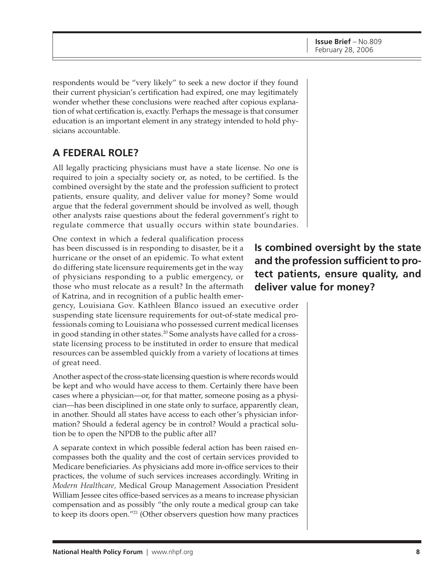respondents would be "very likely" to seek a new doctor if they found their current physician's certification had expired, one may legitimately wonder whether these conclusions were reached after copious explanation of what certification is, exactly. Perhaps the message is that consumer education is an important element in any strategy intended to hold physicians accountable.

## **A FEDERAL ROLE?**

All legally practicing physicians must have a state license. No one is required to join a specialty society or, as noted, to be certified. Is the combined oversight by the state and the profession sufficient to protect patients, ensure quality, and deliver value for money? Some would argue that the federal government should be involved as well, though other analysts raise questions about the federal government's right to regulate commerce that usually occurs within state boundaries.

One context in which a federal qualification process has been discussed is in responding to disaster, be it a hurricane or the onset of an epidemic. To what extent do differing state licensure requirements get in the way of physicians responding to a public emergency, or those who must relocate as a result? In the aftermath of Katrina, and in recognition of a public health emer-

gency, Louisiana Gov. Kathleen Blanco issued an executive order suspending state licensure requirements for out-of-state medical professionals coming to Louisiana who possessed current medical licenses in good standing in other states.<sup>20</sup> Some analysts have called for a crossstate licensing process to be instituted in order to ensure that medical resources can be assembled quickly from a variety of locations at times of great need.

Another aspect of the cross-state licensing question is where records would be kept and who would have access to them. Certainly there have been cases where a physician—or, for that matter, someone posing as a physician—has been disciplined in one state only to surface, apparently clean, in another. Should all states have access to each other's physician information? Should a federal agency be in control? Would a practical solution be to open the NPDB to the public after all?

A separate context in which possible federal action has been raised encompasses both the quality and the cost of certain services provided to Medicare beneficiaries. As physicians add more in-office services to their practices, the volume of such services increases accordingly. Writing in *Modern Healthcare,* Medical Group Management Association President William Jessee cites office-based services as a means to increase physician compensation and as possibly "the only route a medical group can take to keep its doors open."21 (Other observers question how many practices

**Is combined oversight by the state and the profession sufficient to protect patients, ensure quality, and deliver value for money?**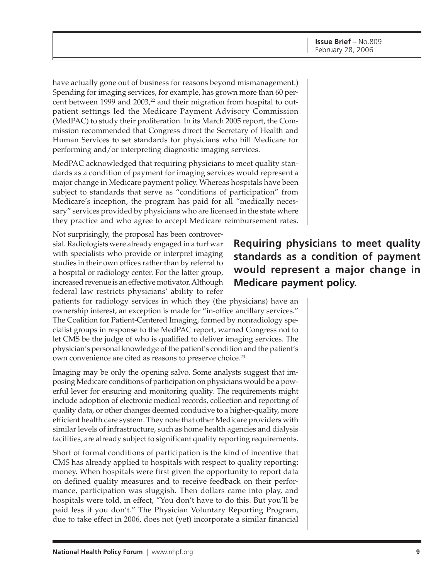have actually gone out of business for reasons beyond mismanagement.) Spending for imaging services, for example, has grown more than 60 percent between 1999 and 2003,<sup>22</sup> and their migration from hospital to outpatient settings led the Medicare Payment Advisory Commission (MedPAC) to study their proliferation. In its March 2005 report, the Commission recommended that Congress direct the Secretary of Health and Human Services to set standards for physicians who bill Medicare for performing and/or interpreting diagnostic imaging services.

MedPAC acknowledged that requiring physicians to meet quality standards as a condition of payment for imaging services would represent a major change in Medicare payment policy. Whereas hospitals have been subject to standards that serve as "conditions of participation" from Medicare's inception, the program has paid for all "medically necessary" services provided by physicians who are licensed in the state where they practice and who agree to accept Medicare reimbursement rates.

Not surprisingly, the proposal has been controversial. Radiologists were already engaged in a turf war with specialists who provide or interpret imaging studies in their own offices rather than by referral to a hospital or radiology center. For the latter group, increased revenue is an effective motivator. Although federal law restricts physicians' ability to refer

patients for radiology services in which they (the physicians) have an ownership interest, an exception is made for "in-office ancillary services." The Coalition for Patient-Centered Imaging, formed by nonradiology specialist groups in response to the MedPAC report, warned Congress not to let CMS be the judge of who is qualified to deliver imaging services. The physician's personal knowledge of the patient's condition and the patient's own convenience are cited as reasons to preserve choice.<sup>23</sup>

Imaging may be only the opening salvo. Some analysts suggest that imposing Medicare conditions of participation on physicians would be a powerful lever for ensuring and monitoring quality. The requirements might include adoption of electronic medical records, collection and reporting of quality data, or other changes deemed conducive to a higher-quality, more efficient health care system. They note that other Medicare providers with similar levels of infrastructure, such as home health agencies and dialysis facilities, are already subject to significant quality reporting requirements.

Short of formal conditions of participation is the kind of incentive that CMS has already applied to hospitals with respect to quality reporting: money. When hospitals were first given the opportunity to report data on defined quality measures and to receive feedback on their performance, participation was sluggish. Then dollars came into play, and hospitals were told, in effect, "You don't have to do this. But you'll be paid less if you don't." The Physician Voluntary Reporting Program, due to take effect in 2006, does not (yet) incorporate a similar financial

## **Requiring physicians to meet quality standards as a condition of payment would represent a major change in Medicare payment policy.**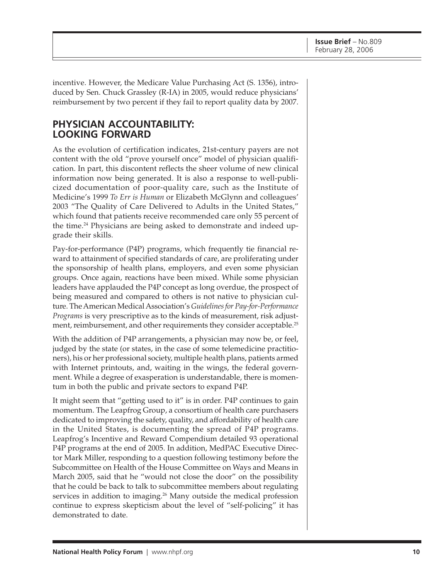incentive. However, the Medicare Value Purchasing Act (S. 1356), introduced by Sen. Chuck Grassley (R-IA) in 2005, would reduce physicians' reimbursement by two percent if they fail to report quality data by 2007.

### **PHYSICIAN ACCOUNTABILITY: LOOKING FORWARD**

As the evolution of certification indicates, 21st-century payers are not content with the old "prove yourself once" model of physician qualification. In part, this discontent reflects the sheer volume of new clinical information now being generated. It is also a response to well-publicized documentation of poor-quality care, such as the Institute of Medicine's 1999 *To Err is Human* or Elizabeth McGlynn and colleagues' 2003 "The Quality of Care Delivered to Adults in the United States," which found that patients receive recommended care only 55 percent of the time.<sup>24</sup> Physicians are being asked to demonstrate and indeed upgrade their skills.

Pay-for-performance (P4P) programs, which frequently tie financial reward to attainment of specified standards of care, are proliferating under the sponsorship of health plans, employers, and even some physician groups. Once again, reactions have been mixed. While some physician leaders have applauded the P4P concept as long overdue, the prospect of being measured and compared to others is not native to physician culture. The American Medical Association's *Guidelines for Pay-for-Performance Programs* is very prescriptive as to the kinds of measurement, risk adjustment, reimbursement, and other requirements they consider acceptable.<sup>25</sup>

With the addition of P4P arrangements, a physician may now be, or feel, judged by the state (or states, in the case of some telemedicine practitioners), his or her professional society, multiple health plans, patients armed with Internet printouts, and, waiting in the wings, the federal government. While a degree of exasperation is understandable, there is momentum in both the public and private sectors to expand P4P.

It might seem that "getting used to it" is in order. P4P continues to gain momentum. The Leapfrog Group, a consortium of health care purchasers dedicated to improving the safety, quality, and affordability of health care in the United States, is documenting the spread of P4P programs. Leapfrog's Incentive and Reward Compendium detailed 93 operational P4P programs at the end of 2005. In addition, MedPAC Executive Director Mark Miller, responding to a question following testimony before the Subcommittee on Health of the House Committee on Ways and Means in March 2005, said that he "would not close the door" on the possibility that he could be back to talk to subcommittee members about regulating services in addition to imaging.<sup>26</sup> Many outside the medical profession continue to express skepticism about the level of "self-policing" it has demonstrated to date.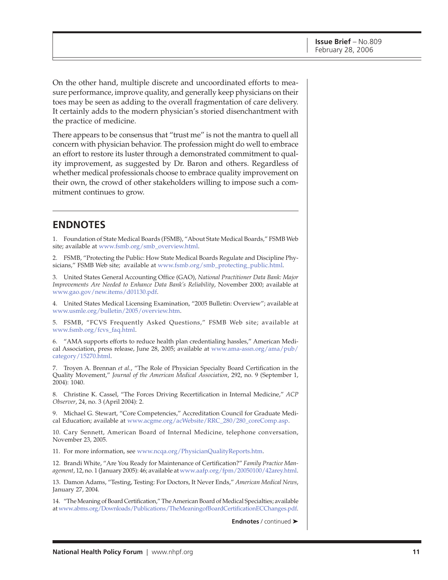On the other hand, multiple discrete and uncoordinated efforts to measure performance, improve quality, and generally keep physicians on their toes may be seen as adding to the overall fragmentation of care delivery. It certainly adds to the modern physician's storied disenchantment with the practice of medicine.

There appears to be consensus that "trust me" is not the mantra to quell all concern with physician behavior. The profession might do well to embrace an effort to restore its luster through a demonstrated commitment to quality improvement, as suggested by Dr. Baron and others. Regardless of whether medical professionals choose to embrace quality improvement on their own, the crowd of other stakeholders willing to impose such a commitment continues to grow.

#### **ENDNOTES**

1. Foundation of State Medical Boards (FSMB), "About State Medical Boards," FSMB Web site; available a[t www.fsmb.org/smb\\_overview.html.](http://www.fsmb.org/smb_overview.html)

2. FSMB, "Protecting the Public: How State Medical Boards Regulate and Discipline Physicians," FSMB Web site; available at [www.fsmb.org/smb\\_protecting\\_public.html.](http://www.fsmb.org/smb_protecting_public.html)

3. United States General Accounting Office (GAO), *National Practitioner Data Bank: Major Improvements Are Needed to Enhance Data Bank's Reliability*, November 2000; available at [www.gao.gov/new.items/d01130.pdf.](http://www.gao.gov/new.items/d01130.pdf)

4. United States Medical Licensing Examination, "2005 Bulletin: Overview"; available at [www.usmle.org/bulletin/2005/overview.htm.](http://www.usmle.org/bulletin/2005/overview.htm)

5. FSMB, "FCVS Frequently Asked Questions," FSMB Web site; available at [www.fsmb.org/fcvs\\_faq.html.](http://www.fsmb.org/fcvs_faq.html)

6. "AMA supports efforts to reduce health plan credentialing hassles," American Medi[cal Association, press release, June 28, 2005; available at www.ama-assn.org/ama/pub/](http://www.ama-assn.org/ama/pub/category/15270.html) category/15270.html.

7. Troyen A. Brennan *et al.*, "The Role of Physician Specialty Board Certification in the Quality Movement," *Journal of the American Medical Association*, 292, no. 9 (September 1, 2004): 1040.

8. Christine K. Cassel, "The Forces Driving Recertification in Internal Medicine," *ACP Observer*, 24, no. 3 (April 2004): 2.

9. Michael G. Stewart, "Core Competencies," Accreditation Council for Graduate Medical Education; available a[t www.acgme.org/acWebsite/RRC\\_280/280\\_coreComp.asp.](http://www.acgme.org/acWebsite/RRC_280/280_coreComp.asp)

10. Cary Sennett, American Board of Internal Medicine, telephone conversation, November 23, 2005.

11. For more information, see [www.ncqa.org/PhysicianQualityReports.htm.](http://www.ncqa.org/PhysicianQualityReports.htm)

12. Brandi White, "Are You Ready for Maintenance of Certification?" *Family Practice Management*, 12, no. 1 (January 2005): 46; available at [www.aafp.org/fpm/20050100/42arey.html.](http://www.aafp.org/fpm/20050100/42arey.html)

13. Damon Adams, "Testing, Testing: For Doctors, It Never Ends," *American Medical News*, January 27, 2004.

14. "The Meaning of Board Certification," The American Board of Medical Specialties; available at [www.abms.org/Downloads/Publications/TheMeaningofBoardCertificationECChanges.pdf.](http://www.abms.org/Downloads/Publications/TheMeaningofBoardCertificationECChanges.pdf)

**Endnotes** / continued ➤